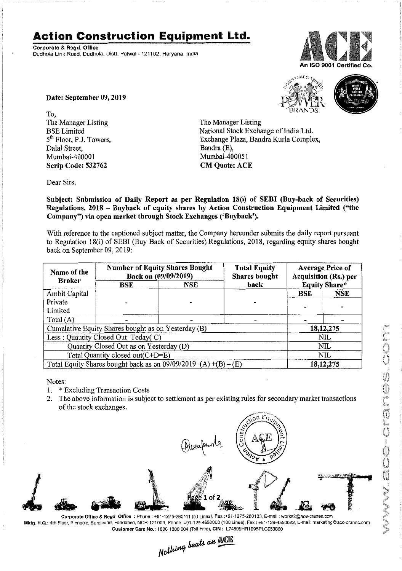## **Action Construction Equipment Ltd.**

Corporate & Regd. Office Dudhola Link Road, Dudhola, Distt. Palwal - 121102, Haryana, India



Date: September 09, 2019

To, The Manager Listing BSE Limited 5<sup>th</sup> Floor, P.J. Towers, Dalal Street, Mumbai-40000I Scrip Code: 532762

16M057



The Manager Listing National Stock Exchange of India Ltd. Exchange Plaza, Bandra Kurla Complex, Bandra (E), Mumbai-400051 **CM Quote: ACE** 

Dear Sirs,

Subject: Submission of Daily Report as per Regulation 18(i) of SEBI (Buy-back of Securities) Regulations, 2018 - Buyback of equity shares by Action Construction Equipment Limited ("the Company") via open market through Stock Exchanges ('Buyback').

With reference to the captioned subject matter, the Company hereunder submits the daily report pursuant to Regulation lS(i) of SEBJ (Buy Back of Securities) Regulations, 201S, regarding equity shares bought back on September 09, 2019:

| Name of the<br><b>Broker</b>                                      | <b>Number of Equity Shares Bought</b><br>Back on (09/09/2019) |     | <b>Total Equity</b><br><b>Shares</b> bought | <b>Average Price of</b><br>Acquisition (Rs.) per |             |  |
|-------------------------------------------------------------------|---------------------------------------------------------------|-----|---------------------------------------------|--------------------------------------------------|-------------|--|
|                                                                   | BSE                                                           | NSE | back                                        | <b>Equity Share*</b>                             |             |  |
| Ambit Capital                                                     |                                                               |     |                                             | BSE                                              | NSE         |  |
| Private                                                           |                                                               |     |                                             |                                                  |             |  |
| Limited                                                           |                                                               |     |                                             |                                                  |             |  |
| Total $(A)$                                                       |                                                               |     |                                             |                                                  |             |  |
| Cumulative Equity Shares bought as on Yesterday (B)               |                                                               |     |                                             |                                                  | 18, 12, 275 |  |
| Less : Quantity Closed Out Today(C)                               |                                                               |     |                                             | NIL                                              |             |  |
| Quantity Closed Out as on Yesterday (D)                           |                                                               |     |                                             | NIL                                              |             |  |
| Total Quantity closed out(C+D=E)                                  |                                                               |     |                                             | NIL                                              |             |  |
| Total Equity Shares bought back as on $09/09/2019$ (A) +(B) – (E) |                                                               |     |                                             | 18, 12, 275                                      |             |  |

Notes:

- 1. \* Excluding Transaction Costs
- 2. The above information is subject to settlement as per existing rules for secondary market transactions of the stock exchanges.



Mktg. H.Q.: 4th Floor, Pinnacle, Surajkund, Foridabad, NCR-121009, Phone: +91-129-4550000 (100 Lines), Fax: +91-129-4550022, E-mail: marketing@aco-cranes.com

Customer Care No.: 1800 1800 004 (Toll Free), CIN: L74899HR1995PLC053860<br>Nathing beats an **ACR**